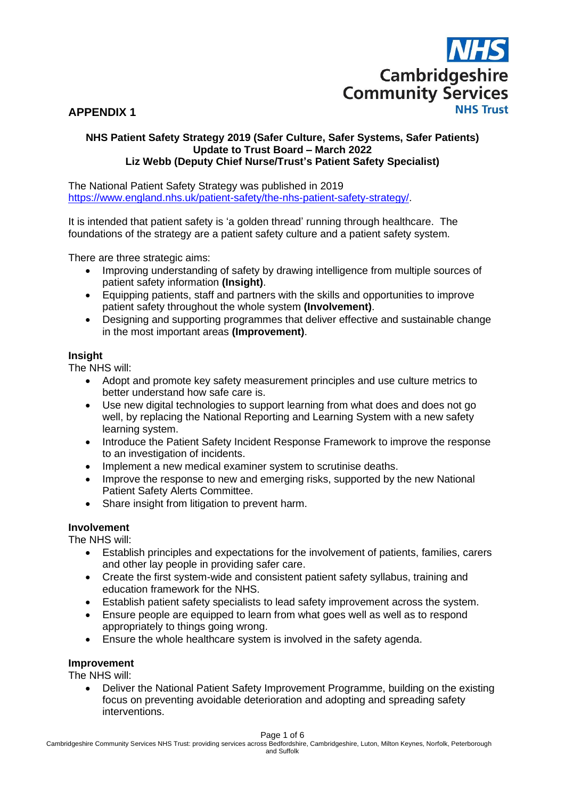

## **APPENDIX 1**

#### **NHS Patient Safety Strategy 2019 (Safer Culture, Safer Systems, Safer Patients) Update to Trust Board – March 2022 Liz Webb (Deputy Chief Nurse/Trust's Patient Safety Specialist)**

The National Patient Safety Strategy was published in 2019 [https://www.england.nhs.uk/patient-safety/the-nhs-patient-safety-strategy/.](https://www.england.nhs.uk/patient-safety/the-nhs-patient-safety-strategy/)

It is intended that patient safety is 'a golden thread' running through healthcare. The foundations of the strategy are a patient safety culture and a patient safety system.

There are three strategic aims:

- Improving understanding of safety by drawing intelligence from multiple sources of patient safety information **(Insight)**.
- Equipping patients, staff and partners with the skills and opportunities to improve patient safety throughout the whole system **(Involvement)**.
- Designing and supporting programmes that deliver effective and sustainable change in the most important areas **(Improvement)**.

#### **Insight**

The NHS will:

- Adopt and promote key safety measurement principles and use culture metrics to better understand how safe care is.
- Use new digital technologies to support learning from what does and does not go well, by replacing the National Reporting and Learning System with a new safety learning system.
- Introduce the Patient Safety Incident Response Framework to improve the response to an investigation of incidents.
- Implement a new medical examiner system to scrutinise deaths.
- Improve the response to new and emerging risks, supported by the new National Patient Safety Alerts Committee.
- Share insight from litigation to prevent harm.

## **Involvement**

The NHS will:

- Establish principles and expectations for the involvement of patients, families, carers and other lay people in providing safer care.
- Create the first system-wide and consistent patient safety syllabus, training and education framework for the NHS.
- Establish patient safety specialists to lead safety improvement across the system.
- Ensure people are equipped to learn from what goes well as well as to respond appropriately to things going wrong.
- Ensure the whole healthcare system is involved in the safety agenda.

#### **Improvement**

The NHS will:

• Deliver the National Patient Safety Improvement Programme, building on the existing focus on preventing avoidable deterioration and adopting and spreading safety interventions.

Page 1 of 6

Cambridgeshire Community Services NHS Trust: providing services across Bedfordshire, Cambridgeshire, Luton, Milton Keynes, Norfolk, Peterborough and Suffolk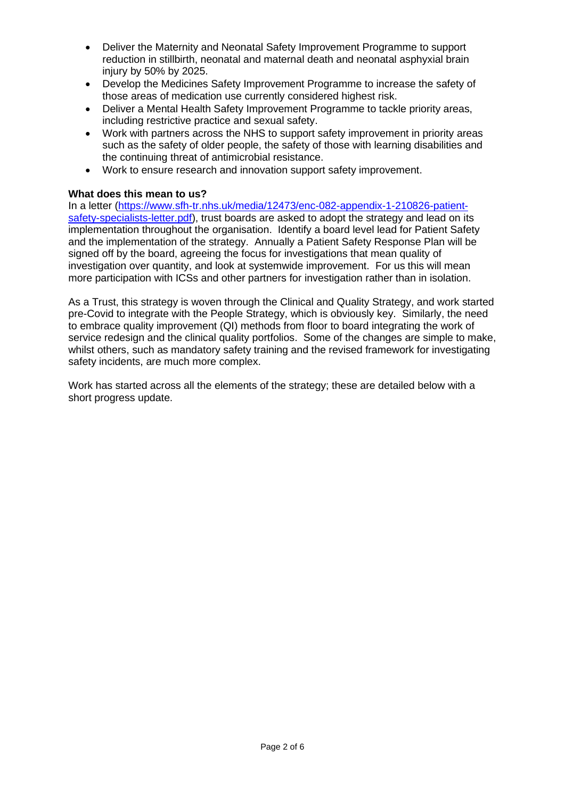- Deliver the Maternity and Neonatal Safety Improvement Programme to support reduction in stillbirth, neonatal and maternal death and neonatal asphyxial brain injury by 50% by 2025.
- Develop the Medicines Safety Improvement Programme to increase the safety of those areas of medication use currently considered highest risk.
- Deliver a Mental Health Safety Improvement Programme to tackle priority areas, including restrictive practice and sexual safety.
- Work with partners across the NHS to support safety improvement in priority areas such as the safety of older people, the safety of those with learning disabilities and the continuing threat of antimicrobial resistance.
- Work to ensure research and innovation support safety improvement.

## **What does this mean to us?**

In a letter [\(https://www.sfh-tr.nhs.uk/media/12473/enc-082-appendix-1-210826-patient](https://www.sfh-tr.nhs.uk/media/12473/enc-082-appendix-1-210826-patient-safety-specialists-letter.pdf)[safety-specialists-letter.pdf\)](https://www.sfh-tr.nhs.uk/media/12473/enc-082-appendix-1-210826-patient-safety-specialists-letter.pdf), trust boards are asked to adopt the strategy and lead on its implementation throughout the organisation. Identify a board level lead for Patient Safety and the implementation of the strategy. Annually a Patient Safety Response Plan will be signed off by the board, agreeing the focus for investigations that mean quality of investigation over quantity, and look at systemwide improvement. For us this will mean more participation with ICSs and other partners for investigation rather than in isolation.

As a Trust, this strategy is woven through the Clinical and Quality Strategy, and work started pre-Covid to integrate with the People Strategy, which is obviously key. Similarly, the need to embrace quality improvement (QI) methods from floor to board integrating the work of service redesign and the clinical quality portfolios. Some of the changes are simple to make, whilst others, such as mandatory safety training and the revised framework for investigating safety incidents, are much more complex.

Work has started across all the elements of the strategy; these are detailed below with a short progress update.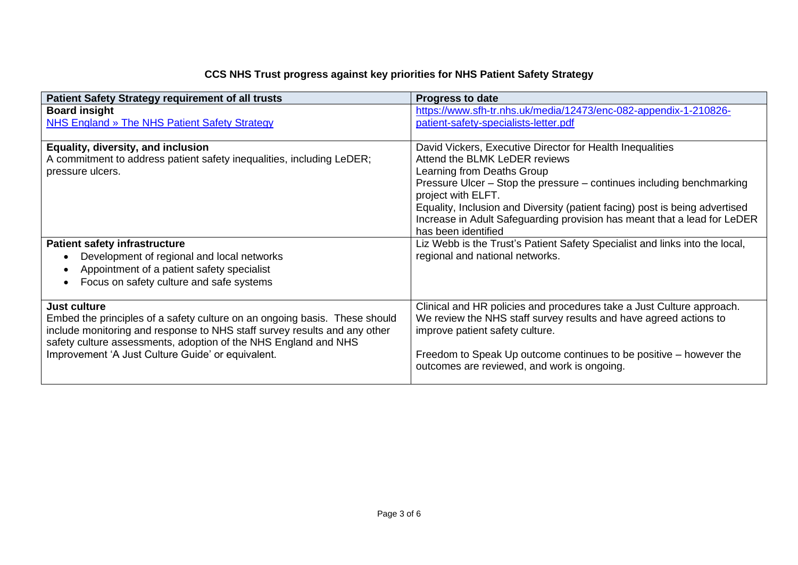# **CCS NHS Trust progress against key priorities for NHS Patient Safety Strategy**

| <b>Patient Safety Strategy requirement of all trusts</b>                   | <b>Progress to date</b>                                                     |
|----------------------------------------------------------------------------|-----------------------------------------------------------------------------|
| <b>Board insight</b>                                                       | https://www.sfh-tr.nhs.uk/media/12473/enc-082-appendix-1-210826-            |
| NHS England » The NHS Patient Safety Strategy                              | patient-safety-specialists-letter.pdf                                       |
|                                                                            |                                                                             |
| Equality, diversity, and inclusion                                         | David Vickers, Executive Director for Health Inequalities                   |
| A commitment to address patient safety inequalities, including LeDER;      | Attend the BLMK LeDER reviews                                               |
| pressure ulcers.                                                           | Learning from Deaths Group                                                  |
|                                                                            | Pressure Ulcer – Stop the pressure – continues including benchmarking       |
|                                                                            | project with ELFT.                                                          |
|                                                                            | Equality, Inclusion and Diversity (patient facing) post is being advertised |
|                                                                            | Increase in Adult Safeguarding provision has meant that a lead for LeDER    |
|                                                                            | has been identified                                                         |
| <b>Patient safety infrastructure</b>                                       | Liz Webb is the Trust's Patient Safety Specialist and links into the local, |
| Development of regional and local networks                                 | regional and national networks.                                             |
| Appointment of a patient safety specialist                                 |                                                                             |
| Focus on safety culture and safe systems                                   |                                                                             |
|                                                                            |                                                                             |
| <b>Just culture</b>                                                        | Clinical and HR policies and procedures take a Just Culture approach.       |
| Embed the principles of a safety culture on an ongoing basis. These should | We review the NHS staff survey results and have agreed actions to           |
| include monitoring and response to NHS staff survey results and any other  | improve patient safety culture.                                             |
| safety culture assessments, adoption of the NHS England and NHS            |                                                                             |
| Improvement 'A Just Culture Guide' or equivalent.                          | Freedom to Speak Up outcome continues to be positive – however the          |
|                                                                            | outcomes are reviewed, and work is ongoing.                                 |
|                                                                            |                                                                             |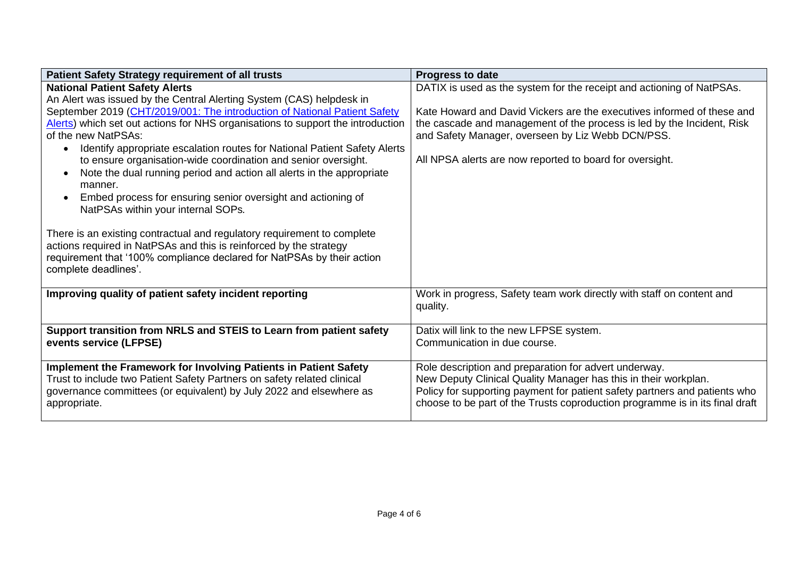| <b>Patient Safety Strategy requirement of all trusts</b>                           | <b>Progress to date</b>                                                      |
|------------------------------------------------------------------------------------|------------------------------------------------------------------------------|
| <b>National Patient Safety Alerts</b>                                              | DATIX is used as the system for the receipt and actioning of NatPSAs.        |
| An Alert was issued by the Central Alerting System (CAS) helpdesk in               |                                                                              |
| September 2019 (CHT/2019/001: The introduction of National Patient Safety          | Kate Howard and David Vickers are the executives informed of these and       |
| Alerts) which set out actions for NHS organisations to support the introduction    | the cascade and management of the process is led by the Incident, Risk       |
| of the new NatPSAs:                                                                | and Safety Manager, overseen by Liz Webb DCN/PSS.                            |
| Identify appropriate escalation routes for National Patient Safety Alerts          |                                                                              |
| to ensure organisation-wide coordination and senior oversight.                     | All NPSA alerts are now reported to board for oversight.                     |
| Note the dual running period and action all alerts in the appropriate<br>$\bullet$ |                                                                              |
| manner.                                                                            |                                                                              |
| Embed process for ensuring senior oversight and actioning of<br>$\bullet$          |                                                                              |
| NatPSAs within your internal SOPs.                                                 |                                                                              |
|                                                                                    |                                                                              |
| There is an existing contractual and regulatory requirement to complete            |                                                                              |
| actions required in NatPSAs and this is reinforced by the strategy                 |                                                                              |
| requirement that '100% compliance declared for NatPSAs by their action             |                                                                              |
| complete deadlines'.                                                               |                                                                              |
|                                                                                    |                                                                              |
| Improving quality of patient safety incident reporting                             | Work in progress, Safety team work directly with staff on content and        |
|                                                                                    | quality.                                                                     |
|                                                                                    |                                                                              |
| Support transition from NRLS and STEIS to Learn from patient safety                | Datix will link to the new LFPSE system.                                     |
| events service (LFPSE)                                                             | Communication in due course.                                                 |
|                                                                                    |                                                                              |
| Implement the Framework for Involving Patients in Patient Safety                   | Role description and preparation for advert underway.                        |
| Trust to include two Patient Safety Partners on safety related clinical            | New Deputy Clinical Quality Manager has this in their workplan.              |
| governance committees (or equivalent) by July 2022 and elsewhere as                | Policy for supporting payment for patient safety partners and patients who   |
| appropriate.                                                                       | choose to be part of the Trusts coproduction programme is in its final draft |
|                                                                                    |                                                                              |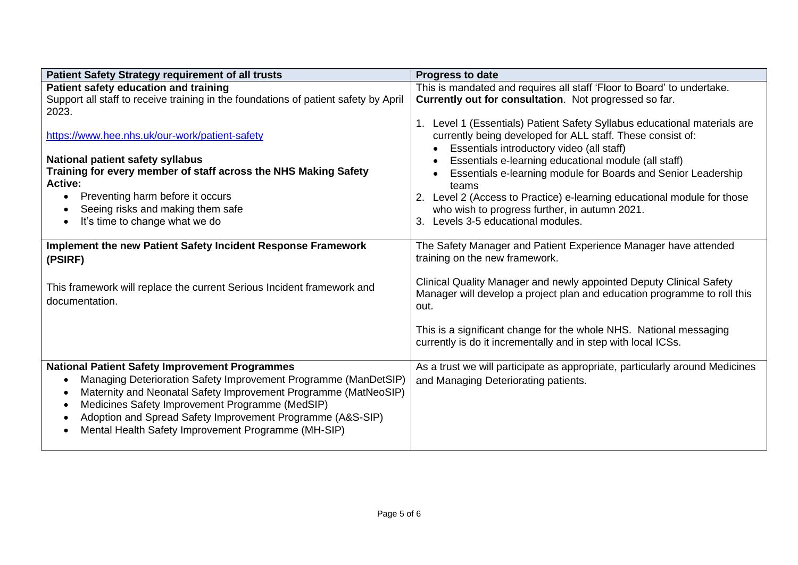| <b>Patient Safety Strategy requirement of all trusts</b>                                                                                                                                                                                                                                                                                                            | <b>Progress to date</b>                                                                                                                                                                                                                                                                                                                                                                                                                                                                  |
|---------------------------------------------------------------------------------------------------------------------------------------------------------------------------------------------------------------------------------------------------------------------------------------------------------------------------------------------------------------------|------------------------------------------------------------------------------------------------------------------------------------------------------------------------------------------------------------------------------------------------------------------------------------------------------------------------------------------------------------------------------------------------------------------------------------------------------------------------------------------|
| Patient safety education and training                                                                                                                                                                                                                                                                                                                               | This is mandated and requires all staff 'Floor to Board' to undertake.                                                                                                                                                                                                                                                                                                                                                                                                                   |
| Support all staff to receive training in the foundations of patient safety by April<br>2023.                                                                                                                                                                                                                                                                        | Currently out for consultation. Not progressed so far.                                                                                                                                                                                                                                                                                                                                                                                                                                   |
| https://www.hee.nhs.uk/our-work/patient-safety<br>National patient safety syllabus<br>Training for every member of staff across the NHS Making Safety<br>Active:<br>Preventing harm before it occurs<br>Seeing risks and making them safe<br>It's time to change what we do                                                                                         | 1. Level 1 (Essentials) Patient Safety Syllabus educational materials are<br>currently being developed for ALL staff. These consist of:<br>Essentials introductory video (all staff)<br>Essentials e-learning educational module (all staff)<br>Essentials e-learning module for Boards and Senior Leadership<br>teams<br>Level 2 (Access to Practice) e-learning educational module for those<br>who wish to progress further, in autumn 2021.<br>Levels 3-5 educational modules.<br>3. |
| Implement the new Patient Safety Incident Response Framework<br>(PSIRF)                                                                                                                                                                                                                                                                                             | The Safety Manager and Patient Experience Manager have attended<br>training on the new framework.                                                                                                                                                                                                                                                                                                                                                                                        |
| This framework will replace the current Serious Incident framework and<br>documentation.                                                                                                                                                                                                                                                                            | Clinical Quality Manager and newly appointed Deputy Clinical Safety<br>Manager will develop a project plan and education programme to roll this<br>out.                                                                                                                                                                                                                                                                                                                                  |
|                                                                                                                                                                                                                                                                                                                                                                     | This is a significant change for the whole NHS. National messaging<br>currently is do it incrementally and in step with local ICSs.                                                                                                                                                                                                                                                                                                                                                      |
| <b>National Patient Safety Improvement Programmes</b><br>Managing Deterioration Safety Improvement Programme (ManDetSIP)<br>Maternity and Neonatal Safety Improvement Programme (MatNeoSIP)<br>Medicines Safety Improvement Programme (MedSIP)<br>Adoption and Spread Safety Improvement Programme (A&S-SIP)<br>Mental Health Safety Improvement Programme (MH-SIP) | As a trust we will participate as appropriate, particularly around Medicines<br>and Managing Deteriorating patients.                                                                                                                                                                                                                                                                                                                                                                     |